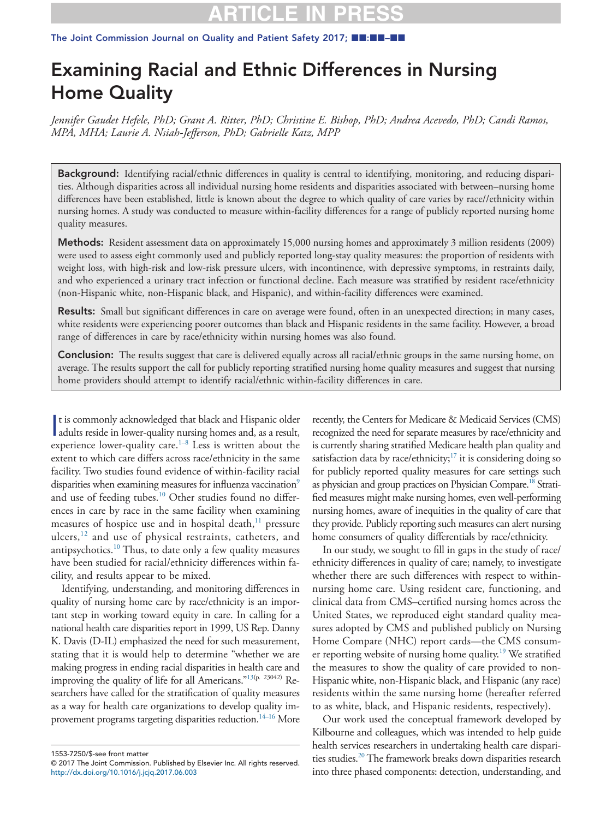The Joint Commission Journal on Quality and Patient Safety 2017; ■■:■■–■■

# Examining Racial and Ethnic Differences in Nursing Home Quality

*Jennifer Gaudet Hefele, PhD; Grant A. Ritter, PhD; Christine E. Bishop, PhD; Andrea Acevedo, PhD; Candi Ramos, MPA, MHA; Laurie A. Nsiah-Jefferson, PhD; Gabrielle Katz, MPP*

Background: Identifying racial/ethnic differences in quality is central to identifying, monitoring, and reducing disparities. Although disparities across all individual nursing home residents and disparities associated with between–nursing home differences have been established, little is known about the degree to which quality of care varies by race//ethnicity within nursing homes. A study was conducted to measure within-facility differences for a range of publicly reported nursing home quality measures.

Methods: Resident assessment data on approximately 15,000 nursing homes and approximately 3 million residents (2009) were used to assess eight commonly used and publicly reported long-stay quality measures: the proportion of residents with weight loss, with high-risk and low-risk pressure ulcers, with incontinence, with depressive symptoms, in restraints daily, and who experienced a urinary tract infection or functional decline. Each measure was stratified by resident race/ethnicity (non-Hispanic white, non-Hispanic black, and Hispanic), and within-facility differences were examined.

Results: Small but significant differences in care on average were found, often in an unexpected direction; in many cases, white residents were experiencing poorer outcomes than black and Hispanic residents in the same facility. However, a broad range of differences in care by race/ethnicity within nursing homes was also found.

Conclusion: The results suggest that care is delivered equally across all racial/ethnic groups in the same nursing home, on average. The results support the call for publicly reporting stratified nursing home quality measures and suggest that nursing home providers should attempt to identify racial/ethnic within-facility differences in care.

It is commonly acknowledged that black and Hispanic older<br>adults reside in lower-quality nursing homes and, as a result, t is commonly acknowledged that black and Hispanic older experience lower-quality care.<sup>1-8</sup> Less is written about the extent to which care differs across race/ethnicity in the same facility. Two studies found evidence of within-facility racial disparities when examining measures for influenza vaccination<sup>9</sup> and use of feeding tubes.<sup>[10](#page-9-2)</sup> Other studies found no differences in care by race in the same facility when examining measures of hospice use and in hospital death, $11$  pressure ulcers,<sup>[12](#page-9-4)</sup> and use of physical restraints, catheters, and antipsychotics.[10](#page-9-2) Thus, to date only a few quality measures have been studied for racial/ethnicity differences within facility, and results appear to be mixed.

Identifying, understanding, and monitoring differences in quality of nursing home care by race/ethnicity is an important step in working toward equity in care. In calling for a national health care disparities report in 1999, US Rep. Danny K. Davis (D-IL) emphasized the need for such measurement, stating that it is would help to determine "whether we are making progress in ending racial disparities in health care and improving the quality of life for all Americans."<sup>13(p. 23042)</sup> Researchers have called for the stratification of quality measures as a way for health care organizations to develop quality improvement programs targeting disparities reduction.<sup>14–16</sup> More recently, the Centers for Medicare & Medicaid Services (CMS) recognized the need for separate measures by race/ethnicity and is currently sharing stratified Medicare health plan quality and satisfaction data by race/ethnicity; $17$  it is considering doing so for publicly reported quality measures for care settings such as physician and group practices on Physician Compare.<sup>18</sup> Stratified measures might make nursing homes, even well-performing nursing homes, aware of inequities in the quality of care that they provide. Publicly reporting such measures can alert nursing home consumers of quality differentials by race/ethnicity.

In our study, we sought to fill in gaps in the study of race/ ethnicity differences in quality of care; namely, to investigate whether there are such differences with respect to withinnursing home care. Using resident care, functioning, and clinical data from CMS–certified nursing homes across the United States, we reproduced eight standard quality measures adopted by CMS and published publicly on Nursing Home Compare (NHC) report cards—the CMS consumer reporting website of nursing home quality.<sup>19</sup> We stratified the measures to show the quality of care provided to non-Hispanic white, non-Hispanic black, and Hispanic (any race) residents within the same nursing home (hereafter referred to as white, black, and Hispanic residents, respectively).

Our work used the conceptual framework developed by Kilbourne and colleagues, which was intended to help guide health services researchers in undertaking health care disparities studies[.20](#page-9-10) The framework breaks down disparities research into three phased components: detection, understanding, and

<sup>1553-7250/\$-</sup>see front matter

<sup>© 2017</sup> The Joint Commission. Published by Elsevier Inc. All rights reserved. <http://dx.doi.org/10.1016/j.jcjq.2017.06.003>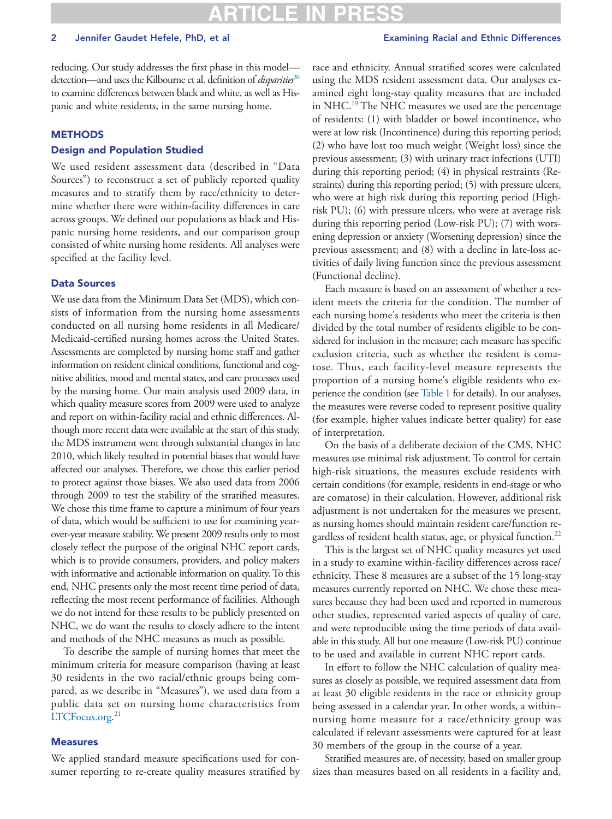#### 2 Jennifer Gaudet Hefele, PhD, et al **Examining Racial and Ethnic Differences**

reducing. Our study addresses the first phase in this model detection—and uses the Kilbourne et al. definition of *disparities*<sup>[20](#page-9-10)</sup> to examine differences between black and white, as well as Hispanic and white residents, in the same nursing home.

#### **METHODS**

#### Design and Population Studied

We used resident assessment data (described in "Data Sources") to reconstruct a set of publicly reported quality measures and to stratify them by race/ethnicity to determine whether there were within-facility differences in care across groups. We defined our populations as black and Hispanic nursing home residents, and our comparison group consisted of white nursing home residents. All analyses were specified at the facility level.

#### Data Sources

We use data from the Minimum Data Set (MDS), which consists of information from the nursing home assessments conducted on all nursing home residents in all Medicare/ Medicaid-certified nursing homes across the United States. Assessments are completed by nursing home staff and gather information on resident clinical conditions, functional and cognitive abilities, mood and mental states, and care processes used by the nursing home. Our main analysis used 2009 data, in which quality measure scores from 2009 were used to analyze and report on within-facility racial and ethnic differences. Although more recent data were available at the start of this study, the MDS instrument went through substantial changes in late 2010, which likely resulted in potential biases that would have affected our analyses. Therefore, we chose this earlier period to protect against those biases. We also used data from 2006 through 2009 to test the stability of the stratified measures. We chose this time frame to capture a minimum of four years of data, which would be sufficient to use for examining yearover-year measure stability. We present 2009 results only to most closely reflect the purpose of the original NHC report cards, which is to provide consumers, providers, and policy makers with informative and actionable information on quality. To this end, NHC presents only the most recent time period of data, reflecting the most recent performance of facilities. Although we do not intend for these results to be publicly presented on NHC, we do want the results to closely adhere to the intent and methods of the NHC measures as much as possible.

To describe the sample of nursing homes that meet the minimum criteria for measure comparison (having at least 30 residents in the two racial/ethnic groups being compared, as we describe in "Measures"), we used data from a public data set on nursing home characteristics from [LTCFocus.org.](http://LTCFocus.org) [21](#page-9-11)

#### Measures

We applied standard measure specifications used for consumer reporting to re-create quality measures stratified by race and ethnicity. Annual stratified scores were calculated using the MDS resident assessment data. Our analyses examined eight long-stay quality measures that are included in NHC.<sup>19</sup> The NHC measures we used are the percentage of residents: (1) with bladder or bowel incontinence, who were at low risk (Incontinence) during this reporting period; (2) who have lost too much weight (Weight loss) since the previous assessment; (3) with urinary tract infections (UTI) during this reporting period; (4) in physical restraints (Restraints) during this reporting period; (5) with pressure ulcers, who were at high risk during this reporting period (Highrisk PU); (6) with pressure ulcers, who were at average risk during this reporting period (Low-risk PU); (7) with worsening depression or anxiety (Worsening depression) since the previous assessment; and (8) with a decline in late-loss activities of daily living function since the previous assessment (Functional decline).

Each measure is based on an assessment of whether a resident meets the criteria for the condition. The number of each nursing home's residents who meet the criteria is then divided by the total number of residents eligible to be considered for inclusion in the measure; each measure has specific exclusion criteria, such as whether the resident is comatose. Thus, each facility-level measure represents the proportion of a nursing home's eligible residents who experience the condition (see [Table 1](#page-2-0) for details). In our analyses, the measures were reverse coded to represent positive quality (for example, higher values indicate better quality) for ease of interpretation.

On the basis of a deliberate decision of the CMS, NHC measures use minimal risk adjustment. To control for certain high-risk situations, the measures exclude residents with certain conditions (for example, residents in end-stage or who are comatose) in their calculation. However, additional risk adjustment is not undertaken for the measures we present, as nursing homes should maintain resident care/function regardless of resident health status, age, or physical function.<sup>22</sup>

This is the largest set of NHC quality measures yet used in a study to examine within-facility differences across race/ ethnicity. These 8 measures are a subset of the 15 long-stay measures currently reported on NHC. We chose these measures because they had been used and reported in numerous other studies, represented varied aspects of quality of care, and were reproducible using the time periods of data available in this study. All but one measure (Low-risk PU) continue to be used and available in current NHC report cards.

In effort to follow the NHC calculation of quality measures as closely as possible, we required assessment data from at least 30 eligible residents in the race or ethnicity group being assessed in a calendar year. In other words, a within– nursing home measure for a race/ethnicity group was calculated if relevant assessments were captured for at least 30 members of the group in the course of a year.

Stratified measures are, of necessity, based on smaller group sizes than measures based on all residents in a facility and,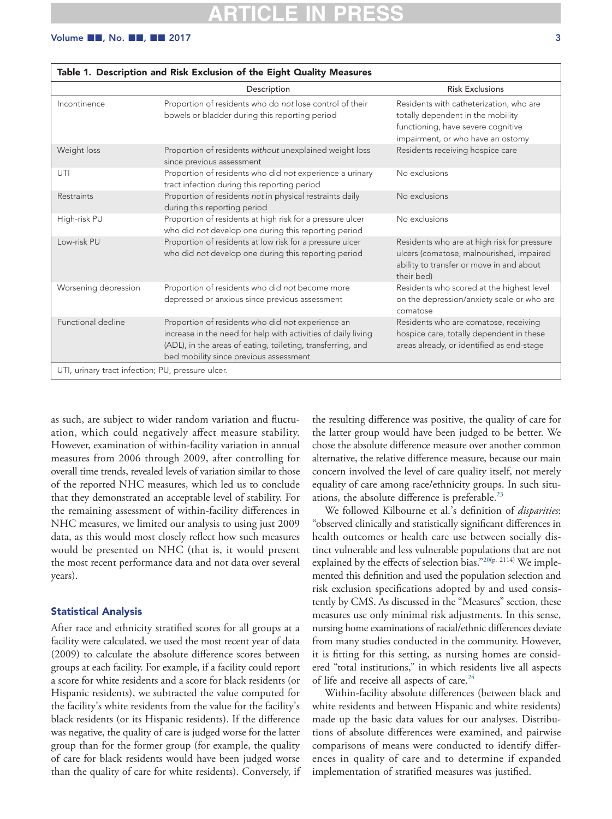#### <span id="page-2-0"></span>Volume ■■, No. ■■, ■■ 2017 3

|                           | Description                                                                                                                                                                                                                 | <b>Risk Exclusions</b>                                                                                                                                  |
|---------------------------|-----------------------------------------------------------------------------------------------------------------------------------------------------------------------------------------------------------------------------|---------------------------------------------------------------------------------------------------------------------------------------------------------|
| Incontinence              | Proportion of residents who do not lose control of their<br>bowels or bladder during this reporting period                                                                                                                  | Residents with catheterization, who are<br>totally dependent in the mobility<br>functioning, have severe cognitive<br>impairment, or who have an ostomy |
| Weight loss               | Proportion of residents without unexplained weight loss<br>since previous assessment                                                                                                                                        | Residents receiving hospice care                                                                                                                        |
| UTI                       | Proportion of residents who did not experience a urinary<br>tract infection during this reporting period                                                                                                                    | No exclusions                                                                                                                                           |
| Restraints                | Proportion of residents not in physical restraints daily<br>during this reporting period                                                                                                                                    | No exclusions                                                                                                                                           |
| High-risk PU              | Proportion of residents at high risk for a pressure ulcer<br>who did not develop one during this reporting period                                                                                                           | No exclusions                                                                                                                                           |
| Low-risk PU               | Proportion of residents at low risk for a pressure ulcer<br>who did not develop one during this reporting period                                                                                                            | Residents who are at high risk for pressure<br>ulcers (comatose, malnourished, impaired<br>ability to transfer or move in and about<br>their bed)       |
| Worsening depression      | Proportion of residents who did not become more<br>depressed or anxious since previous assessment                                                                                                                           | Residents who scored at the highest level<br>on the depression/anxiety scale or who are<br>comatose                                                     |
| <b>Functional decline</b> | Proportion of residents who did not experience an<br>increase in the need for help with activities of daily living<br>(ADL), in the areas of eating, toileting, transferring, and<br>bed mobility since previous assessment | Residents who are comatose, receiving<br>hospice care, totally dependent in these<br>areas already, or identified as end-stage                          |

as such, are subject to wider random variation and fluctuation, which could negatively affect measure stability. However, examination of within-facility variation in annual measures from 2006 through 2009, after controlling for overall time trends, revealed levels of variation similar to those of the reported NHC measures, which led us to conclude that they demonstrated an acceptable level of stability. For the remaining assessment of within-facility differences in NHC measures, we limited our analysis to using just 2009 data, as this would most closely reflect how such measures would be presented on NHC (that is, it would present the most recent performance data and not data over several years).

#### Statistical Analysis

After race and ethnicity stratified scores for all groups at a facility were calculated, we used the most recent year of data (2009) to calculate the absolute difference scores between groups at each facility. For example, if a facility could report a score for white residents and a score for black residents (or Hispanic residents), we subtracted the value computed for the facility's white residents from the value for the facility's black residents (or its Hispanic residents). If the difference was negative, the quality of care is judged worse for the latter group than for the former group (for example, the quality of care for black residents would have been judged worse than the quality of care for white residents). Conversely, if the resulting difference was positive, the quality of care for the latter group would have been judged to be better. We chose the absolute difference measure over another common alternative, the relative difference measure, because our main concern involved the level of care quality itself, not merely equality of care among race/ethnicity groups. In such situ-ations, the absolute difference is preferable.<sup>[23](#page-9-13)</sup>

We followed Kilbourne et al.'s definition of *disparities*: "observed clinically and statistically significant differences in health outcomes or health care use between socially distinct vulnerable and less vulnerable populations that are not explained by the effects of selection bias.["20\(](#page-9-10)p. 2114) We implemented this definition and used the population selection and risk exclusion specifications adopted by and used consistently by CMS. As discussed in the "Measures" section, these measures use only minimal risk adjustments. In this sense, nursing home examinations of racial/ethnic differences deviate from many studies conducted in the community. However, it is fitting for this setting, as nursing homes are considered "total institutions," in which residents live all aspects of life and receive all aspects of care.<sup>[24](#page-9-14)</sup>

Within-facility absolute differences (between black and white residents and between Hispanic and white residents) made up the basic data values for our analyses. Distributions of absolute differences were examined, and pairwise comparisons of means were conducted to identify differences in quality of care and to determine if expanded implementation of stratified measures was justified.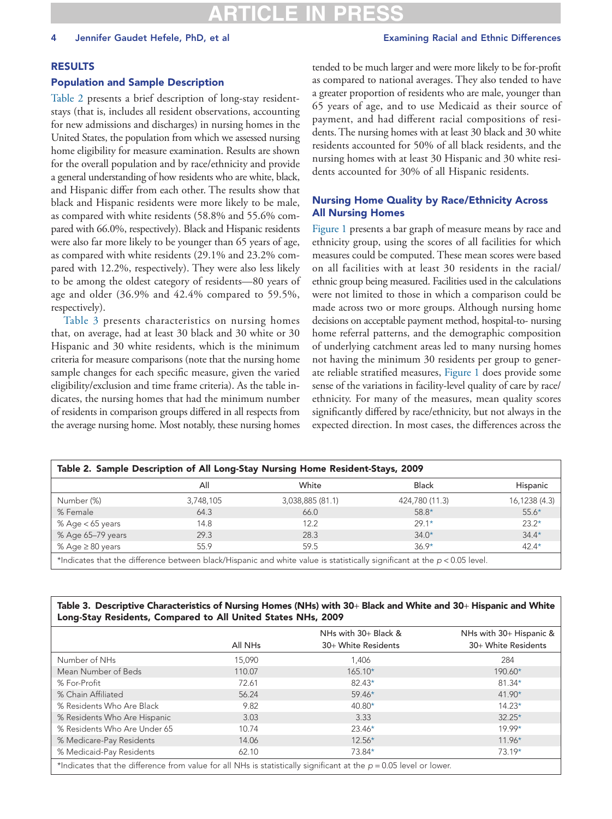#### 4 Jennifer Gaudet Hefele, PhD, et al **Examining Racial and Ethnic Differences**

#### RESULTS

#### Population and Sample Description

Table 2 presents a brief description of long-stay residentstays (that is, includes all resident observations, accounting for new admissions and discharges) in nursing homes in the United States, the population from which we assessed nursing home eligibility for measure examination. Results are shown for the overall population and by race/ethnicity and provide a general understanding of how residents who are white, black, and Hispanic differ from each other. The results show that black and Hispanic residents were more likely to be male, as compared with white residents (58.8% and 55.6% compared with 66.0%, respectively). Black and Hispanic residents were also far more likely to be younger than 65 years of age, as compared with white residents (29.1% and 23.2% compared with 12.2%, respectively). They were also less likely to be among the oldest category of residents—80 years of age and older (36.9% and 42.4% compared to 59.5%, respectively).

Table 3 presents characteristics on nursing homes that, on average, had at least 30 black and 30 white or 30 Hispanic and 30 white residents, which is the minimum criteria for measure comparisons (note that the nursing home sample changes for each specific measure, given the varied eligibility/exclusion and time frame criteria). As the table indicates, the nursing homes that had the minimum number of residents in comparison groups differed in all respects from the average nursing home. Most notably, these nursing homes

tended to be much larger and were more likely to be for-profit as compared to national averages. They also tended to have a greater proportion of residents who are male, younger than 65 years of age, and to use Medicaid as their source of payment, and had different racial compositions of residents. The nursing homes with at least 30 black and 30 white residents accounted for 50% of all black residents, and the nursing homes with at least 30 Hispanic and 30 white residents accounted for 30% of all Hispanic residents.

## Nursing Home Quality by Race/Ethnicity Across All Nursing Homes

[Figure 1](#page-4-0) presents a bar graph of measure means by race and ethnicity group, using the scores of all facilities for which measures could be computed. These mean scores were based on all facilities with at least 30 residents in the racial/ ethnic group being measured. Facilities used in the calculations were not limited to those in which a comparison could be made across two or more groups. Although nursing home decisions on acceptable payment method, hospital-to- nursing home referral patterns, and the demographic composition of underlying catchment areas led to many nursing homes not having the minimum 30 residents per group to generate reliable stratified measures, [Figure 1](#page-4-0) does provide some sense of the variations in facility-level quality of care by race/ ethnicity. For many of the measures, mean quality scores significantly differed by race/ethnicity, but not always in the expected direction. In most cases, the differences across the

| Table 2. Sample Description of All Long-Stay Nursing Home Resident-Stays, 2009 |           |                                                                                                                            |                |               |  |  |  |
|--------------------------------------------------------------------------------|-----------|----------------------------------------------------------------------------------------------------------------------------|----------------|---------------|--|--|--|
|                                                                                | All       | White                                                                                                                      | <b>Black</b>   | Hispanic      |  |  |  |
| Number (%)                                                                     | 3,748,105 | 3,038,885 (81.1)                                                                                                           | 424,780 (11.3) | 16, 1238(4.3) |  |  |  |
| % Female                                                                       | 64.3      | 66.0                                                                                                                       | $58.8*$        | $55.6*$       |  |  |  |
| % Age $<$ 65 years                                                             | 14.8      | 12.2                                                                                                                       | $291*$         | $23.2*$       |  |  |  |
| % Age 65-79 years                                                              | 29.3      | 28.3                                                                                                                       | $34.0*$        | $34.4*$       |  |  |  |
| % Age $\geq 80$ years                                                          | 55.9      | 59.5                                                                                                                       | $36.9*$        | $42.4*$       |  |  |  |
|                                                                                |           | ADA Louis And the difference looping and all disposition and white walve in oteriotically eigenticant at the sex ADE lovel |                |               |  |  |  |

<span id="page-3-0"></span>Indicates that the difference between black/Hispanic and white value is statistically significant at the  $p$  < 0.05 level.

#### Table 3. Descriptive Characteristics of Nursing Homes (NHs) with 30+ Black and White and 30+ Hispanic and White Long-Stay Residents, Compared to All United States NHs, 2009

<span id="page-3-1"></span>

|                                                                                                                      | All NHs | NHs with 30+ Black &<br>30+ White Residents | NHs with 30+ Hispanic &<br>30+ White Residents |  |  |  |
|----------------------------------------------------------------------------------------------------------------------|---------|---------------------------------------------|------------------------------------------------|--|--|--|
| Number of NHs                                                                                                        | 15.090  | 1.406                                       | 284                                            |  |  |  |
| Mean Number of Beds                                                                                                  | 110.07  | $165.10*$                                   | $190.60*$                                      |  |  |  |
| % For-Profit                                                                                                         | 72.61   | $82.43*$                                    | $81.34*$                                       |  |  |  |
| % Chain Affiliated                                                                                                   | 56.24   | $59.46*$                                    | $41.90*$                                       |  |  |  |
| % Residents Who Are Black                                                                                            | 9.82    | $40.80*$                                    | $14.23*$                                       |  |  |  |
| % Residents Who Are Hispanic                                                                                         | 3.03    | 3.33                                        | $32.25*$                                       |  |  |  |
| % Residents Who Are Under 65                                                                                         | 10.74   | $23.46*$                                    | $19.99*$                                       |  |  |  |
| % Medicare-Pay Residents                                                                                             | 14.06   | $12.56*$                                    | $11.96*$                                       |  |  |  |
| % Medicaid-Pay Residents                                                                                             | 62.10   | 73.84*                                      | $73.19*$                                       |  |  |  |
| *Indicates that the difference from value for all NHs is statistically significant at the $p = 0.05$ level or lower. |         |                                             |                                                |  |  |  |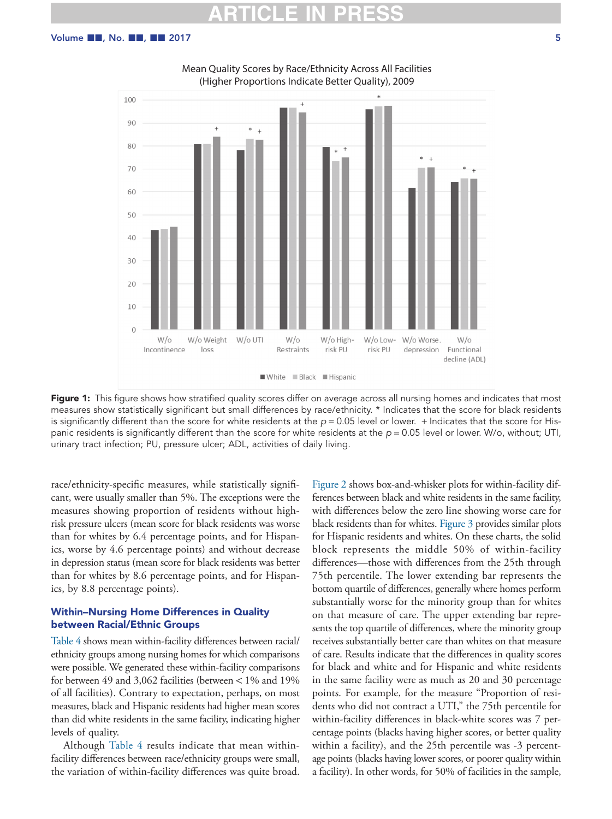<span id="page-4-0"></span>

Mean Quality Scores by Race/Ethnicity Across All Facilities (Higher Proportions Indicate Better Quality), 2009

Figure 1: This figure shows how stratified quality scores differ on average across all nursing homes and indicates that most measures show statistically significant but small differences by race/ethnicity. \* Indicates that the score for black residents is significantly different than the score for white residents at the  $p = 0.05$  level or lower. + Indicates that the score for Hispanic residents is significantly different than the score for white residents at the  $p = 0.05$  level or lower. W/o, without; UTI, urinary tract infection; PU, pressure ulcer; ADL, activities of daily living.

race/ethnicity-specific measures, while statistically significant, were usually smaller than 5%. The exceptions were the measures showing proportion of residents without highrisk pressure ulcers (mean score for black residents was worse than for whites by 6.4 percentage points, and for Hispanics, worse by 4.6 percentage points) and without decrease in depression status (mean score for black residents was better than for whites by 8.6 percentage points, and for Hispanics, by 8.8 percentage points).

## Within–Nursing Home Differences in Quality between Racial/Ethnic Groups

[Table 4](#page-5-0) shows mean within-facility differences between racial/ ethnicity groups among nursing homes for which comparisons were possible. We generated these within-facility comparisons for between 49 and 3,062 facilities (between  $< 1\%$  and 19% of all facilities). Contrary to expectation, perhaps, on most measures, black and Hispanic residents had higher mean scores than did white residents in the same facility, indicating higher levels of quality.

Although [Table 4](#page-5-0) results indicate that mean withinfacility differences between race/ethnicity groups were small, the variation of within-facility differences was quite broad. [Figure 2](#page-5-0) shows box-and-whisker plots for within-facility differences between black and white residents in the same facility, with differences below the zero line showing worse care for black residents than for whites. [Figure 3](#page-6-0) provides similar plots for Hispanic residents and whites. On these charts, the solid block represents the middle 50% of within-facility differences—those with differences from the 25th through 75th percentile. The lower extending bar represents the bottom quartile of differences, generally where homes perform substantially worse for the minority group than for whites on that measure of care. The upper extending bar represents the top quartile of differences, where the minority group receives substantially better care than whites on that measure of care. Results indicate that the differences in quality scores for black and white and for Hispanic and white residents in the same facility were as much as 20 and 30 percentage points. For example, for the measure "Proportion of residents who did not contract a UTI," the 75th percentile for within-facility differences in black-white scores was 7 percentage points (blacks having higher scores, or better quality within a facility), and the 25th percentile was -3 percentage points (blacks having lower scores, or poorer quality within a facility). In other words, for 50% of facilities in the sample,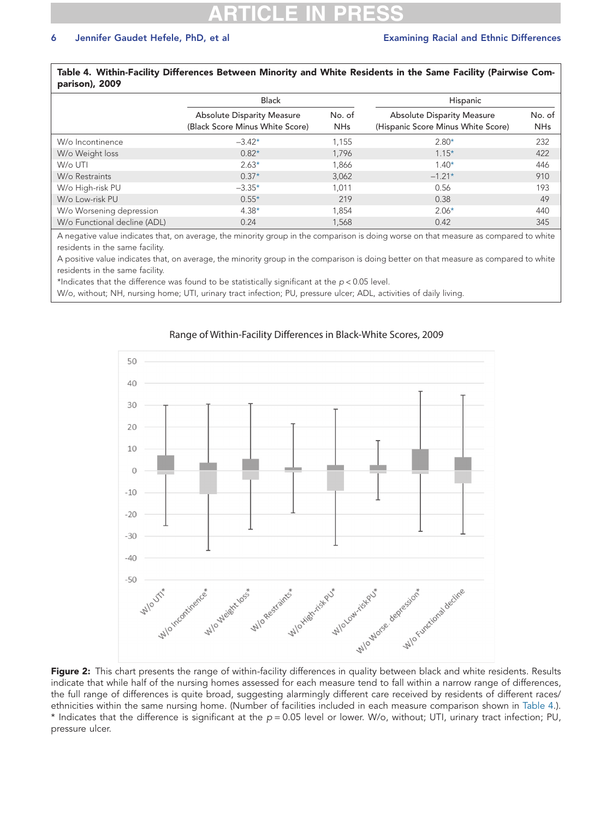#### <span id="page-5-0"></span>Table 4. Within-Facility Differences Between Minority and White Residents in the Same Facility (Pairwise Comparison), 2009

|                              | Black                                                                |                      | Hispanic                                                                |                      |
|------------------------------|----------------------------------------------------------------------|----------------------|-------------------------------------------------------------------------|----------------------|
|                              | <b>Absolute Disparity Measure</b><br>(Black Score Minus White Score) | No. of<br><b>NHs</b> | <b>Absolute Disparity Measure</b><br>(Hispanic Score Minus White Score) | No. of<br><b>NHs</b> |
| W/o Incontinence             | $-3.42*$                                                             | 1.155                | $2.80*$                                                                 | 232                  |
| W/o Weight loss              | $0.82*$                                                              | 1,796                | $1.15*$                                                                 | 422                  |
| W/o UTI                      | $2.63*$                                                              | 1.866                | $1.40*$                                                                 | 446                  |
| W/o Restraints               | $0.37*$                                                              | 3.062                | $-1.21*$                                                                | 910                  |
| W/o High-risk PU             | $-3.35*$                                                             | 1.011                | 0.56                                                                    | 193                  |
| W/o Low-risk PU              | $0.55*$                                                              | 219                  | 0.38                                                                    | 49                   |
| W/o Worsening depression     | $4.38*$                                                              | 1.854                | $2.06*$                                                                 | 440                  |
| W/o Functional decline (ADL) | 0.24                                                                 | 1.568                | 0.42                                                                    | 345                  |

A negative value indicates that, on average, the minority group in the comparison is doing worse on that measure as compared to white residents in the same facility.

A positive value indicates that, on average, the minority group in the comparison is doing better on that measure as compared to white residents in the same facility.

<span id="page-5-1"></span>\*Indicates that the difference was found to be statistically significant at the  $p < 0.05$  level.

W/o, without; NH, nursing home; UTI, urinary tract infection; PU, pressure ulcer; ADL, activities of daily living.

### Range of Within-Facility Differences in Black-White Scores, 2009



Figure 2: This chart presents the range of within-facility differences in quality between black and white residents. Results indicate that while half of the nursing homes assessed for each measure tend to fall within a narrow range of differences, the full range of differences is quite broad, suggesting alarmingly different care received by residents of different races/ ethnicities within the same nursing home. (Number of facilities included in each measure comparison shown in Table 4.). \* Indicates that the difference is significant at the  $p = 0.05$  level or lower. W/o, without; UTI, urinary tract infection; PU, pressure ulcer.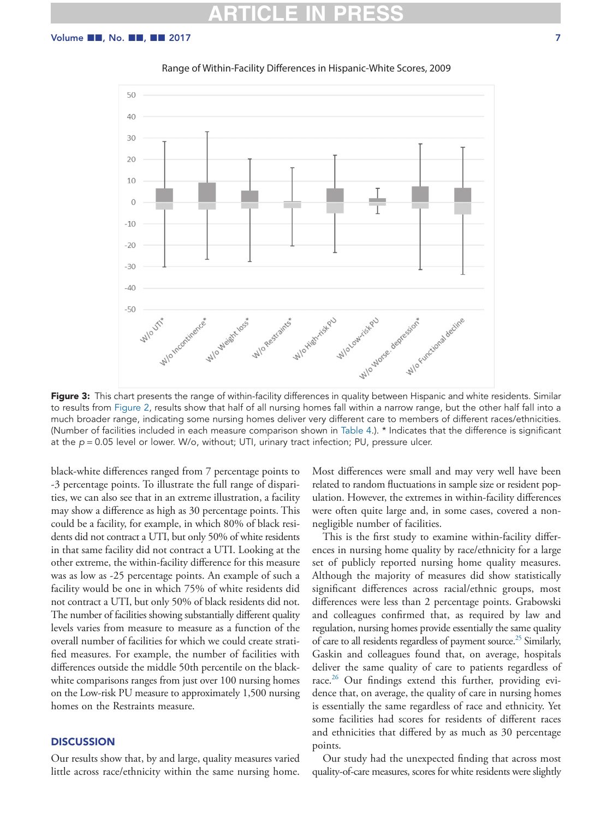<span id="page-6-0"></span>

Range of Within-Facility Differences in Hispanic-White Scores, 2009

Figure 3: This chart presents the range of within-facility differences in quality between Hispanic and white residents. Similar to results from [Figure 2,](#page-5-0) results show that half of all nursing homes fall within a narrow range, but the other half fall into a much broader range, indicating some nursing homes deliver very different care to members of different races/ethnicities. (Number of facilities included in each measure comparison shown in [Table 4.](#page-5-0)). \* Indicates that the difference is significant at the  $p = 0.05$  level or lower. W/o, without; UTI, urinary tract infection; PU, pressure ulcer.

black-white differences ranged from 7 percentage points to -3 percentage points. To illustrate the full range of disparities, we can also see that in an extreme illustration, a facility may show a difference as high as 30 percentage points. This could be a facility, for example, in which 80% of black residents did not contract a UTI, but only 50% of white residents in that same facility did not contract a UTI. Looking at the other extreme, the within-facility difference for this measure was as low as -25 percentage points. An example of such a facility would be one in which 75% of white residents did not contract a UTI, but only 50% of black residents did not. The number of facilities showing substantially different quality levels varies from measure to measure as a function of the overall number of facilities for which we could create stratified measures. For example, the number of facilities with differences outside the middle 50th percentile on the blackwhite comparisons ranges from just over 100 nursing homes on the Low-risk PU measure to approximately 1,500 nursing homes on the Restraints measure.

### **DISCUSSION**

Our results show that, by and large, quality measures varied little across race/ethnicity within the same nursing home.

Most differences were small and may very well have been related to random fluctuations in sample size or resident population. However, the extremes in within-facility differences were often quite large and, in some cases, covered a nonnegligible number of facilities.

This is the first study to examine within-facility differences in nursing home quality by race/ethnicity for a large set of publicly reported nursing home quality measures. Although the majority of measures did show statistically significant differences across racial/ethnic groups, most differences were less than 2 percentage points. Grabowski and colleagues confirmed that, as required by law and regulation, nursing homes provide essentially the same quality of care to all residents regardless of payment source.<sup>25</sup> Similarly, Gaskin and colleagues found that, on average, hospitals deliver the same quality of care to patients regardless of race.<sup>[26](#page-9-16)</sup> Our findings extend this further, providing evidence that, on average, the quality of care in nursing homes is essentially the same regardless of race and ethnicity. Yet some facilities had scores for residents of different races and ethnicities that differed by as much as 30 percentage points.

Our study had the unexpected finding that across most quality-of-care measures, scores for white residents were slightly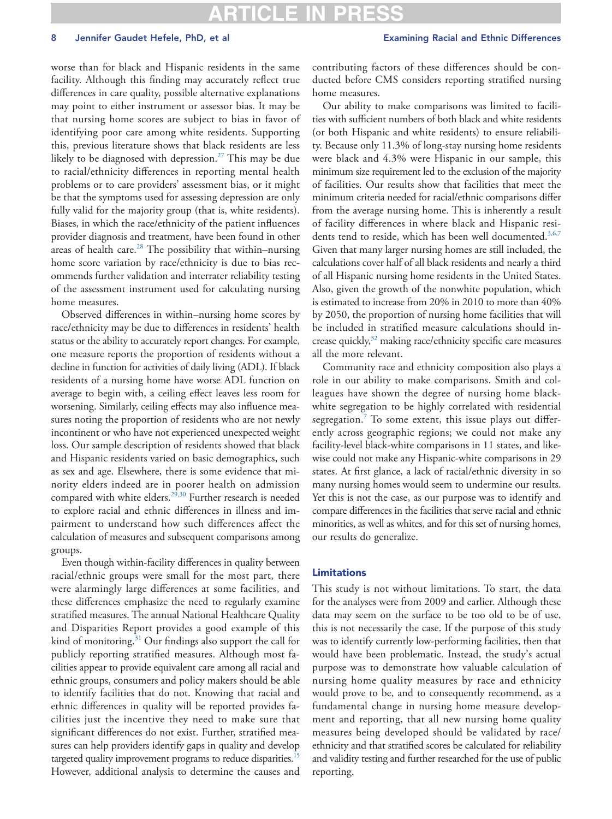#### 8 Jennifer Gaudet Hefele, PhD, et al **Examining Racial and Ethnic Differences**

worse than for black and Hispanic residents in the same facility. Although this finding may accurately reflect true differences in care quality, possible alternative explanations may point to either instrument or assessor bias. It may be that nursing home scores are subject to bias in favor of identifying poor care among white residents. Supporting this, previous literature shows that black residents are less likely to be diagnosed with depression.<sup>[27](#page-9-17)</sup> This may be due to racial/ethnicity differences in reporting mental health problems or to care providers' assessment bias, or it might be that the symptoms used for assessing depression are only fully valid for the majority group (that is, white residents). Biases, in which the race/ethnicity of the patient influences provider diagnosis and treatment, have been found in other areas of health care.<sup>[28](#page-9-18)</sup> The possibility that within–nursing home score variation by race/ethnicity is due to bias recommends further validation and interrater reliability testing of the assessment instrument used for calculating nursing home measures.

Observed differences in within–nursing home scores by race/ethnicity may be due to differences in residents' health status or the ability to accurately report changes. For example, one measure reports the proportion of residents without a decline in function for activities of daily living (ADL). If black residents of a nursing home have worse ADL function on average to begin with, a ceiling effect leaves less room for worsening. Similarly, ceiling effects may also influence measures noting the proportion of residents who are not newly incontinent or who have not experienced unexpected weight loss. Our sample description of residents showed that black and Hispanic residents varied on basic demographics, such as sex and age. Elsewhere, there is some evidence that minority elders indeed are in poorer health on admission compared with white elders.<sup>[29,30](#page-9-19)</sup> Further research is needed to explore racial and ethnic differences in illness and impairment to understand how such differences affect the calculation of measures and subsequent comparisons among groups.

Even though within-facility differences in quality between racial/ethnic groups were small for the most part, there were alarmingly large differences at some facilities, and these differences emphasize the need to regularly examine stratified measures. The annual National Healthcare Quality and Disparities Report provides a good example of this kind of monitoring. $31$  Our findings also support the call for publicly reporting stratified measures. Although most facilities appear to provide equivalent care among all racial and ethnic groups, consumers and policy makers should be able to identify facilities that do not. Knowing that racial and ethnic differences in quality will be reported provides facilities just the incentive they need to make sure that significant differences do not exist. Further, stratified measures can help providers identify gaps in quality and develop targeted quality improvement programs to reduce disparities.<sup>15</sup> However, additional analysis to determine the causes and

contributing factors of these differences should be conducted before CMS considers reporting stratified nursing home measures.

Our ability to make comparisons was limited to facilities with sufficient numbers of both black and white residents (or both Hispanic and white residents) to ensure reliability. Because only 11.3% of long-stay nursing home residents were black and 4.3% were Hispanic in our sample, this minimum size requirement led to the exclusion of the majority of facilities. Our results show that facilities that meet the minimum criteria needed for racial/ethnic comparisons differ from the average nursing home. This is inherently a result of facility differences in where black and Hispanic resi-dents tend to reside, which has been well documented.<sup>[3,6,7](#page-9-22)</sup> Given that many larger nursing homes are still included, the calculations cover half of all black residents and nearly a third of all Hispanic nursing home residents in the United States. Also, given the growth of the nonwhite population, which is estimated to increase from 20% in 2010 to more than 40% by 2050, the proportion of nursing home facilities that will be included in stratified measure calculations should increase quickly[,32](#page-9-23) making race/ethnicity specific care measures all the more relevant.

Community race and ethnicity composition also plays a role in our ability to make comparisons. Smith and colleagues have shown the degree of nursing home blackwhite segregation to be highly correlated with residential segregation.<sup>[7](#page-9-24)</sup> To some extent, this issue plays out differently across geographic regions; we could not make any facility-level black-white comparisons in 11 states, and likewise could not make any Hispanic-white comparisons in 29 states. At first glance, a lack of racial/ethnic diversity in so many nursing homes would seem to undermine our results. Yet this is not the case, as our purpose was to identify and compare differences in the facilities that serve racial and ethnic minorities, as well as whites, and for this set of nursing homes, our results do generalize.

#### Limitations

This study is not without limitations. To start, the data for the analyses were from 2009 and earlier. Although these data may seem on the surface to be too old to be of use, this is not necessarily the case. If the purpose of this study was to identify currently low-performing facilities, then that would have been problematic. Instead, the study's actual purpose was to demonstrate how valuable calculation of nursing home quality measures by race and ethnicity would prove to be, and to consequently recommend, as a fundamental change in nursing home measure development and reporting, that all new nursing home quality measures being developed should be validated by race/ ethnicity and that stratified scores be calculated for reliability and validity testing and further researched for the use of public reporting.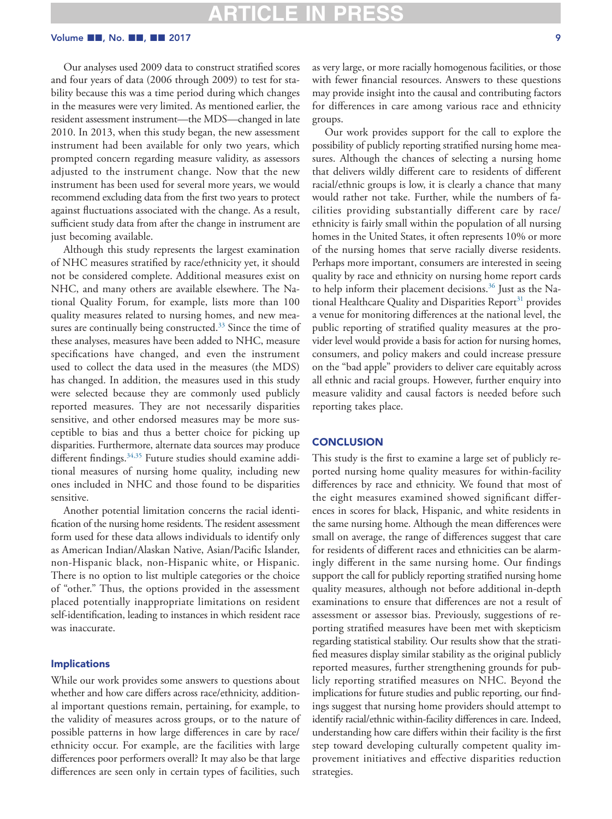#### Volume ■■, No. ■■, ■■ 2017 9

Our analyses used 2009 data to construct stratified scores and four years of data (2006 through 2009) to test for stability because this was a time period during which changes in the measures were very limited. As mentioned earlier, the resident assessment instrument—the MDS—changed in late 2010. In 2013, when this study began, the new assessment instrument had been available for only two years, which prompted concern regarding measure validity, as assessors adjusted to the instrument change. Now that the new instrument has been used for several more years, we would recommend excluding data from the first two years to protect against fluctuations associated with the change. As a result, sufficient study data from after the change in instrument are just becoming available.

Although this study represents the largest examination of NHC measures stratified by race/ethnicity yet, it should not be considered complete. Additional measures exist on NHC, and many others are available elsewhere. The National Quality Forum, for example, lists more than 100 quality measures related to nursing homes, and new mea-sures are continually being constructed.<sup>[33](#page-10-0)</sup> Since the time of these analyses, measures have been added to NHC, measure specifications have changed, and even the instrument used to collect the data used in the measures (the MDS) has changed. In addition, the measures used in this study were selected because they are commonly used publicly reported measures. They are not necessarily disparities sensitive, and other endorsed measures may be more susceptible to bias and thus a better choice for picking up disparities. Furthermore, alternate data sources may produce different findings.<sup>[34,35](#page-10-1)</sup> Future studies should examine additional measures of nursing home quality, including new ones included in NHC and those found to be disparities sensitive.

Another potential limitation concerns the racial identification of the nursing home residents. The resident assessment form used for these data allows individuals to identify only as American Indian/Alaskan Native, Asian/Pacific Islander, non-Hispanic black, non-Hispanic white, or Hispanic. There is no option to list multiple categories or the choice of "other." Thus, the options provided in the assessment placed potentially inappropriate limitations on resident self-identification, leading to instances in which resident race was inaccurate.

### Implications

While our work provides some answers to questions about whether and how care differs across race/ethnicity, additional important questions remain, pertaining, for example, to the validity of measures across groups, or to the nature of possible patterns in how large differences in care by race/ ethnicity occur. For example, are the facilities with large differences poor performers overall? It may also be that large differences are seen only in certain types of facilities, such

as very large, or more racially homogenous facilities, or those with fewer financial resources. Answers to these questions may provide insight into the causal and contributing factors for differences in care among various race and ethnicity groups.

Our work provides support for the call to explore the possibility of publicly reporting stratified nursing home measures. Although the chances of selecting a nursing home that delivers wildly different care to residents of different racial/ethnic groups is low, it is clearly a chance that many would rather not take. Further, while the numbers of facilities providing substantially different care by race/ ethnicity is fairly small within the population of all nursing homes in the United States, it often represents 10% or more of the nursing homes that serve racially diverse residents. Perhaps more important, consumers are interested in seeing quality by race and ethnicity on nursing home report cards to help inform their placement decisions.<sup>[36](#page-10-2)</sup> Just as the National Healthcare Quality and Disparities Report<sup>31</sup> provides a venue for monitoring differences at the national level, the public reporting of stratified quality measures at the provider level would provide a basis for action for nursing homes, consumers, and policy makers and could increase pressure on the "bad apple" providers to deliver care equitably across all ethnic and racial groups. However, further enquiry into measure validity and causal factors is needed before such reporting takes place.

#### **CONCLUSION**

This study is the first to examine a large set of publicly reported nursing home quality measures for within-facility differences by race and ethnicity. We found that most of the eight measures examined showed significant differences in scores for black, Hispanic, and white residents in the same nursing home. Although the mean differences were small on average, the range of differences suggest that care for residents of different races and ethnicities can be alarmingly different in the same nursing home. Our findings support the call for publicly reporting stratified nursing home quality measures, although not before additional in-depth examinations to ensure that differences are not a result of assessment or assessor bias. Previously, suggestions of reporting stratified measures have been met with skepticism regarding statistical stability. Our results show that the stratified measures display similar stability as the original publicly reported measures, further strengthening grounds for publicly reporting stratified measures on NHC. Beyond the implications for future studies and public reporting, our findings suggest that nursing home providers should attempt to identify racial/ethnic within-facility differences in care. Indeed, understanding how care differs within their facility is the first step toward developing culturally competent quality improvement initiatives and effective disparities reduction strategies.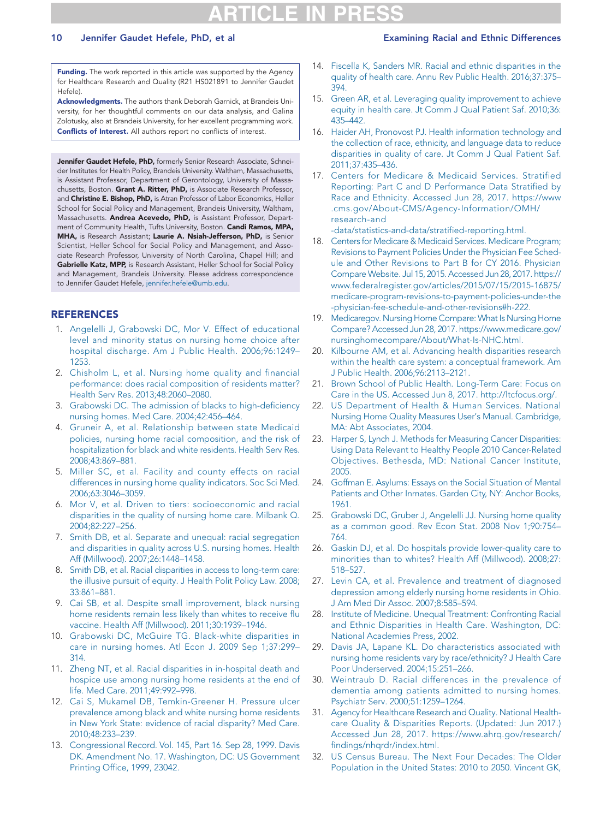#### 10 Jennifer Gaudet Hefele, PhD, et al **Examining Racial and Ethnic Differences**

Funding. The work reported in this article was supported by the Agency for Healthcare Research and Quality (R21 HS021891 to Jennifer Gaudet Hefele).

Acknowledgments. The authors thank Deborah Garnick, at Brandeis University, for her thoughtful comments on our data analysis, and Galina Zolotusky, also at Brandeis University, for her excellent programming work. Conflicts of Interest. All authors report no conflicts of interest.

Jennifer Gaudet Hefele, PhD, formerly Senior Research Associate, Schneider Institutes for Health Policy, Brandeis University. Waltham, Massachusetts, is Assistant Professor, Department of Gerontology, University of Massachusetts, Boston. Grant A. Ritter, PhD, is Associate Research Professor, and Christine E. Bishop, PhD, is Atran Professor of Labor Economics, Heller School for Social Policy and Management, Brandeis University, Waltham, Massachusetts. Andrea Acevedo, PhD, is Assistant Professor, Department of Community Health, Tufts University, Boston. Candi Ramos, MPA, MHA, is Research Assistant; Laurie A. Nsiah-Jefferson, PhD, is Senior Scientist, Heller School for Social Policy and Management, and Associate Research Professor, University of North Carolina, Chapel Hill; and Gabrielle Katz, MPP, is Research Assistant, Heller School for Social Policy and Management, Brandeis University. Please address correspondence to Jennifer Gaudet Hefele, [jennifer.hefele@umb.edu.](mailto:jennifer.hefele@umb.edu)

#### **REFERENCES**

- <span id="page-9-0"></span>1. [Angelelli J, Grabowski DC, Mor V. Effect of educational](http://refhub.elsevier.com/S1553-7250(17)30046-6/sr0010) [level and minority status on nursing home choice after](http://refhub.elsevier.com/S1553-7250(17)30046-6/sr0010) [hospital discharge. Am J Public Health. 2006;96:1249–](http://refhub.elsevier.com/S1553-7250(17)30046-6/sr0010) [1253.](http://refhub.elsevier.com/S1553-7250(17)30046-6/sr0010)
- 2. [Chisholm L, et al. Nursing home quality and financial](http://refhub.elsevier.com/S1553-7250(17)30046-6/sr0015) [performance: does racial composition of residents matter?](http://refhub.elsevier.com/S1553-7250(17)30046-6/sr0015) [Health Serv Res. 2013;48:2060–2080.](http://refhub.elsevier.com/S1553-7250(17)30046-6/sr0015)
- <span id="page-9-22"></span>3. [Grabowski DC. The admission of blacks to high-deficiency](http://refhub.elsevier.com/S1553-7250(17)30046-6/sr0020) [nursing homes. Med Care. 2004;42:456–464.](http://refhub.elsevier.com/S1553-7250(17)30046-6/sr0020)
- 4. [Gruneir A, et al. Relationship between state Medicaid](http://refhub.elsevier.com/S1553-7250(17)30046-6/sr0025) [policies, nursing home racial composition, and the risk of](http://refhub.elsevier.com/S1553-7250(17)30046-6/sr0025) [hospitalization for black and white residents. Health Serv Res.](http://refhub.elsevier.com/S1553-7250(17)30046-6/sr0025) [2008;43:869–881.](http://refhub.elsevier.com/S1553-7250(17)30046-6/sr0025)
- 5. [Miller SC, et al. Facility and county effects on racial](http://refhub.elsevier.com/S1553-7250(17)30046-6/sr0030) [differences in nursing home quality indicators. Soc Sci Med.](http://refhub.elsevier.com/S1553-7250(17)30046-6/sr0030) [2006;63:3046–3059.](http://refhub.elsevier.com/S1553-7250(17)30046-6/sr0030)
- 6. [Mor V, et al. Driven to tiers: socioeconomic and racial](http://refhub.elsevier.com/S1553-7250(17)30046-6/sr0035) [disparities in the quality of nursing home care. Milbank Q.](http://refhub.elsevier.com/S1553-7250(17)30046-6/sr0035) [2004;82:227–256.](http://refhub.elsevier.com/S1553-7250(17)30046-6/sr0035)
- <span id="page-9-24"></span>7. [Smith DB, et al. Separate and unequal: racial segregation](http://refhub.elsevier.com/S1553-7250(17)30046-6/sr0040) [and disparities in quality across U.S. nursing homes. Health](http://refhub.elsevier.com/S1553-7250(17)30046-6/sr0040) [Aff \(Millwood\). 2007;26:1448–1458.](http://refhub.elsevier.com/S1553-7250(17)30046-6/sr0040)
- 8. [Smith DB, et al. Racial disparities in access to long-term care:](http://refhub.elsevier.com/S1553-7250(17)30046-6/sr0045) [the illusive pursuit of equity. J Health Polit Policy Law. 2008;](http://refhub.elsevier.com/S1553-7250(17)30046-6/sr0045) [33:861–881.](http://refhub.elsevier.com/S1553-7250(17)30046-6/sr0045)
- <span id="page-9-1"></span>9. [Cai SB, et al. Despite small improvement, black nursing](http://refhub.elsevier.com/S1553-7250(17)30046-6/sr0050) [home residents remain less likely than whites to receive flu](http://refhub.elsevier.com/S1553-7250(17)30046-6/sr0050) [vaccine. Health Aff \(Millwood\). 2011;30:1939–1946.](http://refhub.elsevier.com/S1553-7250(17)30046-6/sr0050)
- <span id="page-9-2"></span>10. [Grabowski DC, McGuire TG. Black-white disparities in](http://refhub.elsevier.com/S1553-7250(17)30046-6/sr0055) [care in nursing homes. Atl Econ J. 2009 Sep 1;37:299–](http://refhub.elsevier.com/S1553-7250(17)30046-6/sr0055) [314.](http://refhub.elsevier.com/S1553-7250(17)30046-6/sr0055)
- <span id="page-9-3"></span>11. [Zheng NT, et al. Racial disparities in in-hospital death and](http://refhub.elsevier.com/S1553-7250(17)30046-6/sr0060) [hospice use among nursing home residents at the end of](http://refhub.elsevier.com/S1553-7250(17)30046-6/sr0060) [life. Med Care. 2011;49:992–998.](http://refhub.elsevier.com/S1553-7250(17)30046-6/sr0060)
- <span id="page-9-4"></span>12. [Cai S, Mukamel DB, Temkin-Greener H. Pressure ulcer](http://refhub.elsevier.com/S1553-7250(17)30046-6/sr0065) [prevalence among black and white nursing home residents](http://refhub.elsevier.com/S1553-7250(17)30046-6/sr0065) [in New York State: evidence of racial disparity? Med Care.](http://refhub.elsevier.com/S1553-7250(17)30046-6/sr0065) [2010;48:233–239.](http://refhub.elsevier.com/S1553-7250(17)30046-6/sr0065)
- <span id="page-9-5"></span>13. [Congressional Record. Vol. 145, Part 16. Sep 28, 1999. Davis](http://refhub.elsevier.com/S1553-7250(17)30046-6/sr0070) [DK. Amendment No. 17. Washington, DC: US Government](http://refhub.elsevier.com/S1553-7250(17)30046-6/sr0070) [Printing Office, 1999, 23042.](http://refhub.elsevier.com/S1553-7250(17)30046-6/sr0070)
- <span id="page-9-6"></span>14. [Fiscella K, Sanders MR. Racial and ethnic disparities in the](http://refhub.elsevier.com/S1553-7250(17)30046-6/sr0075) [quality of health care. Annu Rev Public Health. 2016;37:375–](http://refhub.elsevier.com/S1553-7250(17)30046-6/sr0075) [394.](http://refhub.elsevier.com/S1553-7250(17)30046-6/sr0075)
- <span id="page-9-21"></span>15. [Green AR, et al. Leveraging quality improvement to achieve](http://refhub.elsevier.com/S1553-7250(17)30046-6/sr0080) [equity in health care. Jt Comm J Qual Patient Saf. 2010;36:](http://refhub.elsevier.com/S1553-7250(17)30046-6/sr0080) [435–442.](http://refhub.elsevier.com/S1553-7250(17)30046-6/sr0080)
- 16. [Haider AH, Pronovost PJ. Health information technology and](http://refhub.elsevier.com/S1553-7250(17)30046-6/sr0085) [the collection of race, ethnicity, and language data to reduce](http://refhub.elsevier.com/S1553-7250(17)30046-6/sr0085) [disparities in quality of care. Jt Comm J Qual Patient Saf.](http://refhub.elsevier.com/S1553-7250(17)30046-6/sr0085) [2011;37:435–436.](http://refhub.elsevier.com/S1553-7250(17)30046-6/sr0085)
- <span id="page-9-7"></span>17. [Centers for Medicare & Medicaid Services. Stratified](http://refhub.elsevier.com/S1553-7250(17)30046-6/sr0090) [Reporting: Part C and D Performance Data Stratified by](http://refhub.elsevier.com/S1553-7250(17)30046-6/sr0090) Race and Ethnicity. Accessed Jun 28, 2017. [https://www](https://www.cms.gov/About-CMS/Agency-Information/OMH/research-and-data/statistics-and-data/stratified-reporting.html) [.cms.gov/About-CMS/Agency-Information/OMH/](https://www.cms.gov/About-CMS/Agency-Information/OMH/research-and-data/statistics-and-data/stratified-reporting.html) [research-and](https://www.cms.gov/About-CMS/Agency-Information/OMH/research-and-data/statistics-and-data/stratified-reporting.html)

[-data/statistics-and-data/stratified-reporting.html.](https://www.cms.gov/About-CMS/Agency-Information/OMH/research-and-data/statistics-and-data/stratified-reporting.html)

- <span id="page-9-8"></span>18. [Centers for Medicare & Medicaid Services.](http://refhub.elsevier.com/S1553-7250(17)30046-6/sr0095) Medicare Program; [Revisions to Payment Policies Under the Physician Fee Sched](http://refhub.elsevier.com/S1553-7250(17)30046-6/sr0095)[ule and Other Revisions to Part B for CY 2016. Physician](http://refhub.elsevier.com/S1553-7250(17)30046-6/sr0095) CompareWebsite. Jul 15, 2015. Accessed Jun 28, 2017. [https://](https://www.federalregister.gov/articles/2015/07/15/2015-16875/medicare-program-revisions-to-payment-policies-under-the-physician-fee-schedule-and-other-revisions#h-222) [www.federalregister.gov/articles/2015/07/15/2015-16875/](https://www.federalregister.gov/articles/2015/07/15/2015-16875/medicare-program-revisions-to-payment-policies-under-the-physician-fee-schedule-and-other-revisions#h-222) [medicare-program-revisions-to-payment-policies-under-the](https://www.federalregister.gov/articles/2015/07/15/2015-16875/medicare-program-revisions-to-payment-policies-under-the-physician-fee-schedule-and-other-revisions#h-222) [-physician-fee-schedule-and-other-revisions#h-222.](https://www.federalregister.gov/articles/2015/07/15/2015-16875/medicare-program-revisions-to-payment-policies-under-the-physician-fee-schedule-and-other-revisions#h-222)
- <span id="page-9-9"></span>19. Medicaregov. [Nursing Home Compare: What Is Nursing Home](http://refhub.elsevier.com/S1553-7250(17)30046-6/sr0100) Compare? Accessed Jun 28, 2017. [https://www.medicare.gov/](https://www.medicare.gov/nursinghomecompare/About/What-Is-NHC.html) [nursinghomecompare/About/What-Is-NHC.html.](https://www.medicare.gov/nursinghomecompare/About/What-Is-NHC.html)
- <span id="page-9-10"></span>20. [Kilbourne AM, et al. Advancing health disparities research](http://refhub.elsevier.com/S1553-7250(17)30046-6/sr0105) [within the health care system: a conceptual framework. Am](http://refhub.elsevier.com/S1553-7250(17)30046-6/sr0105) [J Public Health. 2006;96:2113–2121.](http://refhub.elsevier.com/S1553-7250(17)30046-6/sr0105)
- <span id="page-9-11"></span>21. [Brown School of Public Health. Long-Term Care: Focus on](http://refhub.elsevier.com/S1553-7250(17)30046-6/sr0110) Care in the US. Accessed Jun 8, 2017. [http://ltcfocus.org/.](http://ltcfocus.org/)
- <span id="page-9-12"></span>22. [US Department of Health & Human Services. National](http://refhub.elsevier.com/S1553-7250(17)30046-6/sr0115) [Nursing Home Quality Measures User's Manual. Cambridge,](http://refhub.elsevier.com/S1553-7250(17)30046-6/sr0115) [MA: Abt Associates, 2004.](http://refhub.elsevier.com/S1553-7250(17)30046-6/sr0115)
- <span id="page-9-13"></span>23. [Harper S, Lynch J. Methods for Measuring Cancer Disparities:](http://refhub.elsevier.com/S1553-7250(17)30046-6/sr0120) [Using Data Relevant to Healthy People 2010 Cancer-Related](http://refhub.elsevier.com/S1553-7250(17)30046-6/sr0120) [Objectives. Bethesda, MD: National Cancer Institute,](http://refhub.elsevier.com/S1553-7250(17)30046-6/sr0120) [2005.](http://refhub.elsevier.com/S1553-7250(17)30046-6/sr0120)
- <span id="page-9-14"></span>24. [Goffman E. Asylums: Essays on the Social Situation of Mental](http://refhub.elsevier.com/S1553-7250(17)30046-6/sr0125) [Patients and Other Inmates. Garden City, NY: Anchor Books,](http://refhub.elsevier.com/S1553-7250(17)30046-6/sr0125) [1961.](http://refhub.elsevier.com/S1553-7250(17)30046-6/sr0125)
- <span id="page-9-15"></span>25. [Grabowski DC, Gruber J, Angelelli JJ. Nursing home quality](http://refhub.elsevier.com/S1553-7250(17)30046-6/sr0130) [as a common good. Rev Econ Stat. 2008 Nov 1;90:754–](http://refhub.elsevier.com/S1553-7250(17)30046-6/sr0130) [764.](http://refhub.elsevier.com/S1553-7250(17)30046-6/sr0130)
- <span id="page-9-16"></span>26. [Gaskin DJ, et al. Do hospitals provide lower-quality care to](http://refhub.elsevier.com/S1553-7250(17)30046-6/sr0135) [minorities than to whites? Health Aff \(Millwood\). 2008;27:](http://refhub.elsevier.com/S1553-7250(17)30046-6/sr0135) [518–527.](http://refhub.elsevier.com/S1553-7250(17)30046-6/sr0135)
- <span id="page-9-17"></span>27. [Levin CA, et al. Prevalence and treatment of diagnosed](http://refhub.elsevier.com/S1553-7250(17)30046-6/sr0140) [depression among elderly nursing home residents in Ohio.](http://refhub.elsevier.com/S1553-7250(17)30046-6/sr0140) [J Am Med Dir Assoc. 2007;8:585–594.](http://refhub.elsevier.com/S1553-7250(17)30046-6/sr0140)
- <span id="page-9-18"></span>28. [Institute of Medicine. Unequal Treatment: Confronting Racial](http://refhub.elsevier.com/S1553-7250(17)30046-6/sr0145) [and Ethnic Disparities in Health Care. Washington, DC:](http://refhub.elsevier.com/S1553-7250(17)30046-6/sr0145) [National Academies Press, 2002.](http://refhub.elsevier.com/S1553-7250(17)30046-6/sr0145)
- <span id="page-9-19"></span>29. [Davis JA, Lapane KL. Do characteristics associated with](http://refhub.elsevier.com/S1553-7250(17)30046-6/sr0150) [nursing home residents vary by race/ethnicity? J Health Care](http://refhub.elsevier.com/S1553-7250(17)30046-6/sr0150) [Poor Underserved. 2004;15:251–266.](http://refhub.elsevier.com/S1553-7250(17)30046-6/sr0150)
- 30. [Weintraub D. Racial differences in the prevalence of](http://refhub.elsevier.com/S1553-7250(17)30046-6/sr0155) [dementia among patients admitted to nursing homes.](http://refhub.elsevier.com/S1553-7250(17)30046-6/sr0155) [Psychiatr Serv. 2000;51:1259–1264.](http://refhub.elsevier.com/S1553-7250(17)30046-6/sr0155)
- <span id="page-9-20"></span>31. [Agency for Healthcare Research and Quality. National Health](http://refhub.elsevier.com/S1553-7250(17)30046-6/sr0160)[care Quality & Disparities Reports. \(Updated: Jun 2017.\)](http://refhub.elsevier.com/S1553-7250(17)30046-6/sr0160) Accessed Jun 28, 2017. [https://www.ahrq.gov/research/](https://www.ahrq.gov/research/findings/nhqrdr/index.html) [findings/nhqrdr/index.html.](https://www.ahrq.gov/research/findings/nhqrdr/index.html)
- <span id="page-9-23"></span>32. [US Census Bureau. The Next Four Decades: The Older](http://refhub.elsevier.com/S1553-7250(17)30046-6/sr0165) [Population in the United States: 2010 to 2050. Vincent GK,](http://refhub.elsevier.com/S1553-7250(17)30046-6/sr0165)